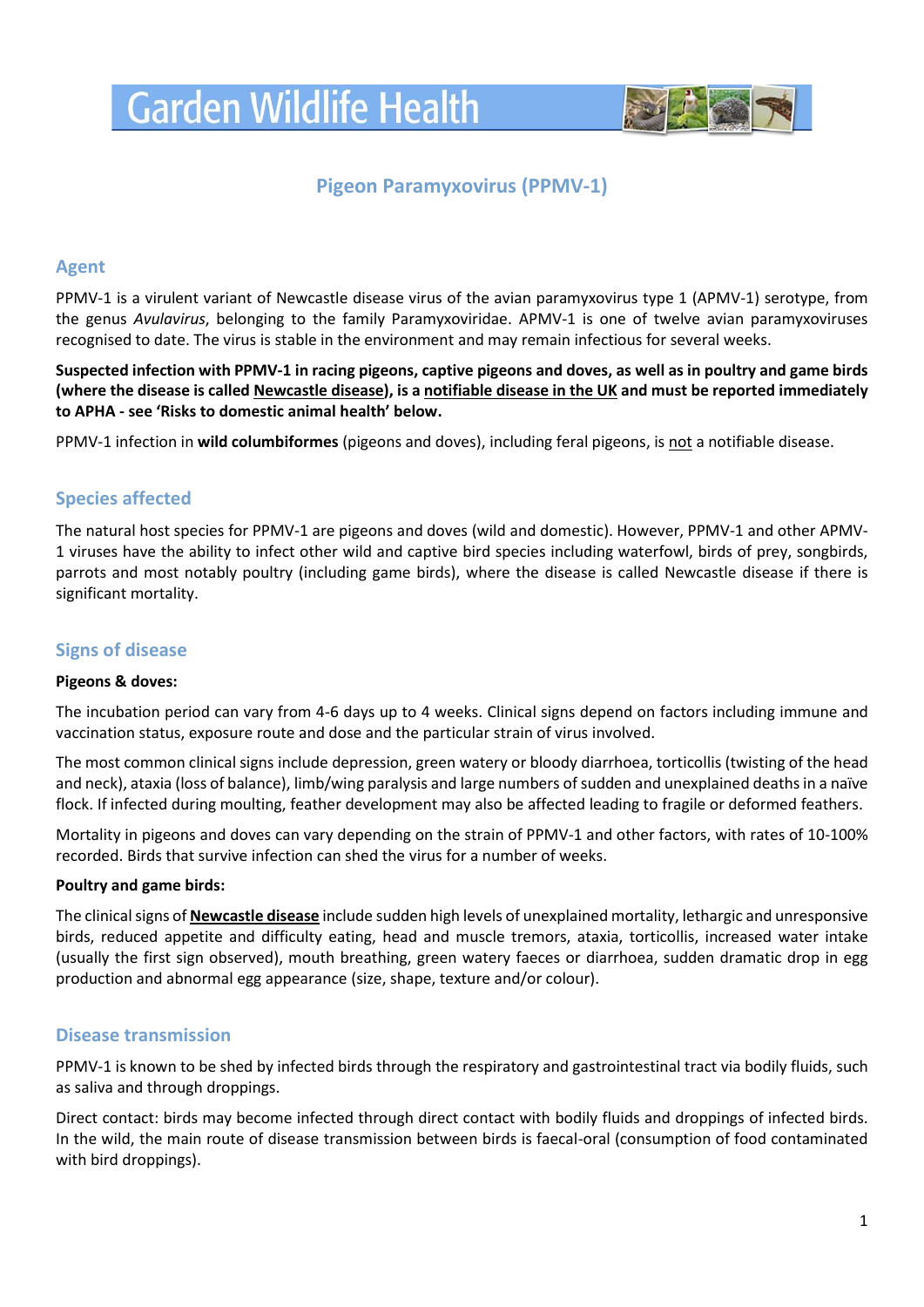# **Garden Wildlife Health**



# **Pigeon Paramyxovirus (PPMV-1)**

## **Agent**

PPMV-1 is a virulent variant of Newcastle disease virus of the avian paramyxovirus type 1 (APMV-1) serotype, from the genus *Avulavirus*, belonging to the family Paramyxoviridae. APMV-1 is one of twelve avian paramyxoviruses recognised to date. The virus is stable in the environment and may remain infectious for several weeks.

**Suspected infection with PPMV-1 in racing pigeons, captive pigeons and doves, as well as in poultry and game birds (where the disease is called Newcastle disease), is a notifiable disease in the UK and must be reported immediately to APHA - see 'Risks to domestic animal health' below.**

PPMV-1 infection in **wild columbiformes** (pigeons and doves), including feral pigeons, is not a notifiable disease.

# **Species affected**

The natural host species for PPMV-1 are pigeons and doves (wild and domestic). However, PPMV-1 and other APMV-1 viruses have the ability to infect other wild and captive bird species including waterfowl, birds of prey, songbirds, parrots and most notably poultry (including game birds), where the disease is called Newcastle disease if there is significant mortality.

## **Signs of disease**

#### **Pigeons & doves:**

The incubation period can vary from 4-6 days up to 4 weeks. Clinical signs depend on factors including immune and vaccination status, exposure route and dose and the particular strain of virus involved.

The most common clinical signs include depression, green watery or bloody diarrhoea, torticollis (twisting of the head and neck), ataxia (loss of balance), limb/wing paralysis and large numbers of sudden and unexplained deaths in a naïve flock. If infected during moulting, feather development may also be affected leading to fragile or deformed feathers.

Mortality in pigeons and doves can vary depending on the strain of PPMV-1 and other factors, with rates of 10-100% recorded. Birds that survive infection can shed the virus for a number of weeks.

#### **Poultry and game birds:**

The clinical signs of **Newcastle disease** include sudden high levels of unexplained mortality, lethargic and unresponsive birds, reduced appetite and difficulty eating, head and muscle tremors, ataxia, torticollis, increased water intake (usually the first sign observed), mouth breathing, green watery faeces or diarrhoea, sudden dramatic drop in egg production and abnormal egg appearance (size, shape, texture and/or colour).

### **Disease transmission**

PPMV-1 is known to be shed by infected birds through the respiratory and gastrointestinal tract via bodily fluids, such as saliva and through droppings.

Direct contact: birds may become infected through direct contact with bodily fluids and droppings of infected birds. In the wild, the main route of disease transmission between birds is faecal-oral (consumption of food contaminated with bird droppings).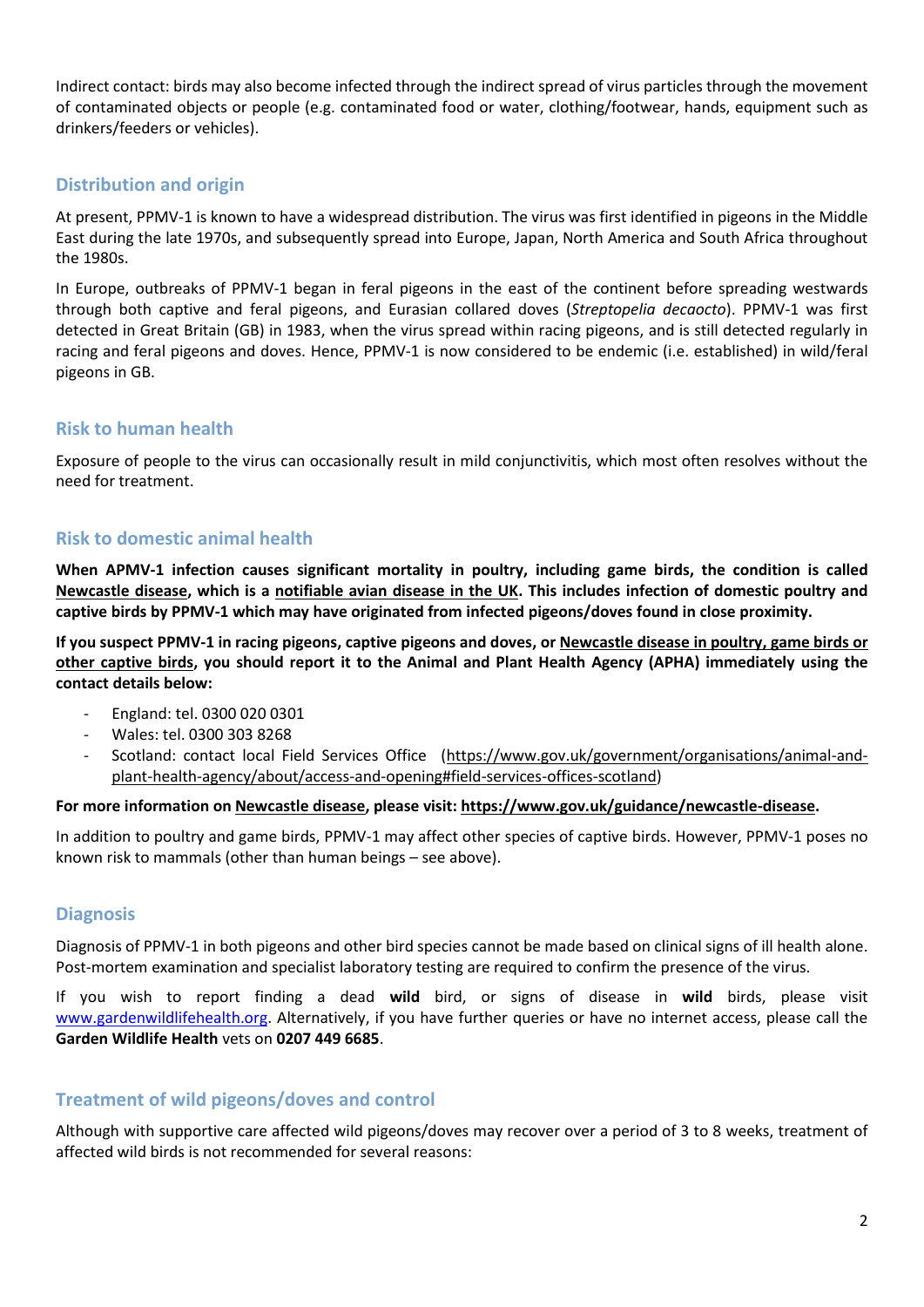Indirect contact: birds may also become infected through the indirect spread of virus particles through the movement of contaminated objects or people (e.g. contaminated food or water, clothing/footwear, hands, equipment such as drinkers/feeders or vehicles).

# **Distribution and origin**

At present, PPMV-1 is known to have a widespread distribution. The virus was first identified in pigeons in the Middle East during the late 1970s, and subsequently spread into Europe, Japan, North America and South Africa throughout the 1980s.

In Europe, outbreaks of PPMV-1 began in feral pigeons in the east of the continent before spreading westwards through both captive and feral pigeons, and Eurasian collared doves (*Streptopelia decaocto*). PPMV-1 was first detected in Great Britain (GB) in 1983, when the virus spread within racing pigeons, and is still detected regularly in racing and feral pigeons and doves. Hence, PPMV-1 is now considered to be endemic (i.e. established) in wild/feral pigeons in GB.

# **Risk to human health**

Exposure of people to the virus can occasionally result in mild conjunctivitis, which most often resolves without the need for treatment.

## **Risk to domestic animal health**

**When APMV-1 infection causes significant mortality in poultry, including game birds, the condition is called Newcastle disease, which is a notifiable avian disease in the UK. This includes infection of domestic poultry and captive birds by PPMV-1 which may have originated from infected pigeons/doves found in close proximity.**

**If you suspect PPMV-1 in racing pigeons, captive pigeons and doves, or Newcastle disease in poultry, game birds or other captive birds, you should report it to the Animal and Plant Health Agency (APHA) immediately using the contact details below:**

- England: tel. 0300 020 0301
- Wales: tel. 0300 303 8268
- Scotland: contact local Field Services Office [\(https://www.gov.uk/government/organisations/animal-and](https://www.gov.uk/government/organisations/animal-and-plant-health-agency/about/access-and-opening#field-services-offices-scotland)[plant-health-agency/about/access-and-opening#field-services-offices-scotland\)](https://www.gov.uk/government/organisations/animal-and-plant-health-agency/about/access-and-opening#field-services-offices-scotland)

#### **For more information on Newcastle disease, please visit: [https://www.gov.uk/guidance/newcastle-disease.](https://www.gov.uk/guidance/newcastle-disease)**

In addition to poultry and game birds, PPMV-1 may affect other species of captive birds. However, PPMV-1 poses no known risk to mammals (other than human beings – see above).

### **Diagnosis**

Diagnosis of PPMV-1 in both pigeons and other bird species cannot be made based on clinical signs of ill health alone. Post-mortem examination and specialist laboratory testing are required to confirm the presence of the virus.

If you wish to report finding a dead **wild** bird, or signs of disease in **wild** birds, please visit [www.gardenwildlifehealth.org.](http://www.gardenwildlifehealth.org/) Alternatively, if you have further queries or have no internet access, please call the **Garden Wildlife Health** vets on **0207 449 6685**.

# **Treatment of wild pigeons/doves and control**

Although with supportive care affected wild pigeons/doves may recover over a period of 3 to 8 weeks, treatment of affected wild birds is not recommended for several reasons: